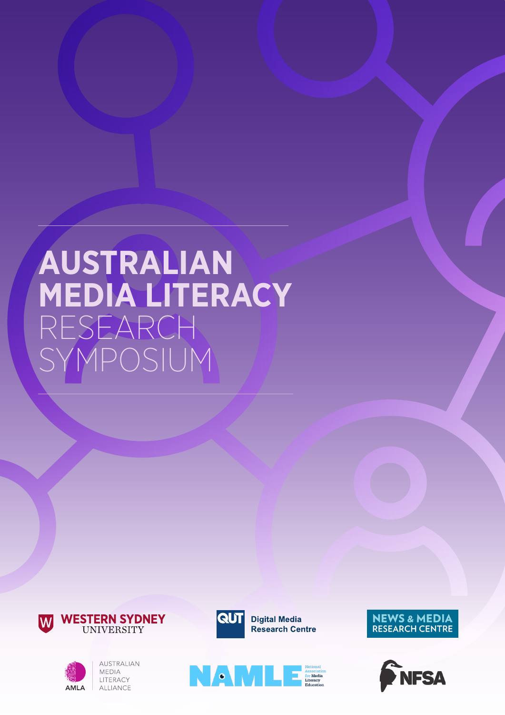# **AUSTRALIAN MEDIA LITERACY** RESEARCH YMPOSIUM





AUSTRALIAN MEDIA LITERACY ALLIANCE



**NAME DESCRIPTION OF BROOKING** 



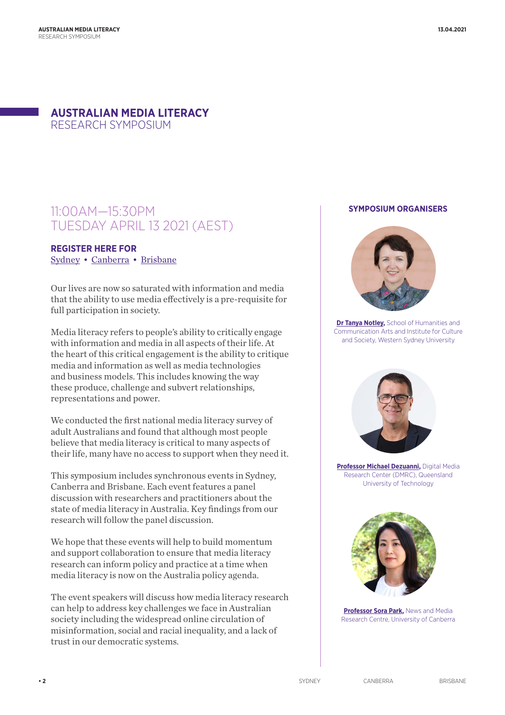# **AUSTRALIAN MEDIA LITERACY**  RESEARCH SYMPOSIUM

# 11:00AM—15:30PM TUESDAY APRIL 13 2021 (AEST)

# **REGISTER HERE FOR**  [Sydney](https://www.eventbrite.com.au/e/australian-media-literacy-research-symposium-sydney-event-tickets-140957083431) • [Canberra](https://www.eventbrite.com/e/australian-media-literacy-research-symposium-canberra-event-tickets-141223004809) • [Brisbane](https://www.eventbrite.com.au/e/australian-media-literacy-research-symposium-brisbane-event-tickets-141229851287)

Our lives are now so saturated with information and media that the ability to use media effectively is a pre-requisite for full participation in society.

Media literacy refers to people's ability to critically engage with information and media in all aspects of their life. At the heart of this critical engagement is the ability to critique media and information as well as media technologies and business models. This includes knowing the way these produce, challenge and subvert relationships, representations and power.

We conducted the first national media literacy survey of adult Australians and found that although most people believe that media literacy is critical to many aspects of their life, many have no access to support when they need it.

This symposium includes synchronous events in Sydney, Canberra and Brisbane. Each event features a panel discussion with researchers and practitioners about the state of media literacy in Australia. Key findings from our research will follow the panel discussion.

We hope that these events will help to build momentum and support collaboration to ensure that media literacy research can inform policy and practice at a time when media literacy is now on the Australia policy agenda.

The event speakers will discuss how media literacy research can help to address key challenges we face in Australian society including the widespread online circulation of misinformation, social and racial inequality, and a lack of trust in our democratic systems.

### **SYMPOSIUM ORGANISERS**



**[Dr Tanya Notley](https://www.westernsydney.edu.au/ics/people/school_based_researchers/tanya_notley),** School of Humanities and Communication Arts and Institute for Culture and Society, Western Sydney University



**[Professor Michael Dezuanni,](https://staff.qut.edu.au/staff/m.dezuanni)** Digital Media Research Center (DMRC), Queensland University of Technology



**[Professor Sora Park](https://researchprofiles.canberra.edu.au/en/persons/sora-park),** News and Media Research Centre, University of Canberra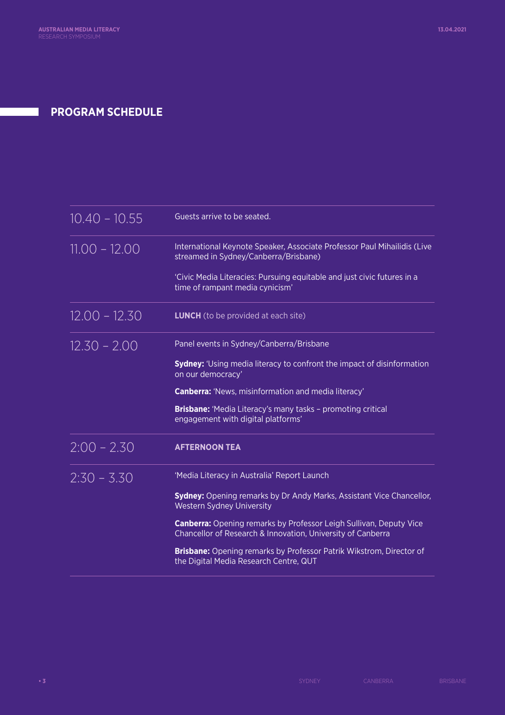# **PROGRAM SCHEDULE**

| $10.40 - 10.55$ | Guests arrive to be seated.                                                                                                              |
|-----------------|------------------------------------------------------------------------------------------------------------------------------------------|
| $11.00 - 12.00$ | International Keynote Speaker, Associate Professor Paul Mihailidis (Live<br>streamed in Sydney/Canberra/Brisbane)                        |
|                 | 'Civic Media Literacies: Pursuing equitable and just civic futures in a<br>time of rampant media cynicism'                               |
| $12.00 - 12.30$ | <b>LUNCH</b> (to be provided at each site)                                                                                               |
| $12.30 - 2.00$  | Panel events in Sydney/Canberra/Brisbane                                                                                                 |
|                 | <b>Sydney:</b> 'Using media literacy to confront the impact of disinformation<br>on our democracy'                                       |
|                 | <b>Canberra:</b> 'News, misinformation and media literacy'                                                                               |
|                 | <b>Brisbane:</b> 'Media Literacy's many tasks - promoting critical<br>engagement with digital platforms'                                 |
| $2:00 - 2.30$   | <b>AFTERNOON TEA</b>                                                                                                                     |
| $2:30 - 3:30$   | 'Media Literacy in Australia' Report Launch                                                                                              |
|                 | <b>Sydney:</b> Opening remarks by Dr Andy Marks, Assistant Vice Chancellor,<br><b>Western Sydney University</b>                          |
|                 | <b>Canberra:</b> Opening remarks by Professor Leigh Sullivan, Deputy Vice<br>Chancellor of Research & Innovation, University of Canberra |
|                 | Brisbane: Opening remarks by Professor Patrik Wikstrom, Director of<br>the Digital Media Research Centre, QUT                            |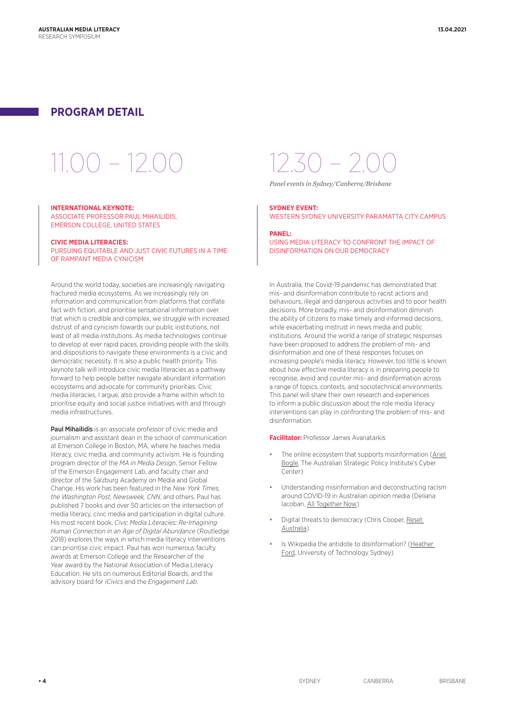# **PROGRAM DETAIL**

# $10.0 - 12.00 - 12.30 -$

### **INTERNATIONAL KEYNOTE:**

ASSOCIATE PROFESSOR PAUL MIHAILIDIS, EMERSON COLLEGE, UNITED STATES

### **CIVIC MEDIA LITERACIES:**

PURSUING EQUITABLE AND JUST CIVIC FUTURES IN A TIME OF RAMPANT MEDIA CYNICISM

Around the world today, societies are increasingly navigating fractured media ecosystems. As we increasingly rely on information and communication from platforms that conflate fact with fiction, and prioritise sensational information over that which is credible and complex, we struggle with increased distrust of and cynicism towards our public institutions, not least of all media institutions. As media technologies continue to develop at ever rapid paces, providing people with the skills and dispositions to navigate these environments is a civic and democratic necessity. It is also a public health priority. This keynote talk will introduce civic media literacies as a pathway forward to help people better navigate abundant information ecosystems and advocate for community priorities. Civic media literacies, I argue, also provide a frame within which to prioritise equity and social justice initiatives with and through media infrastructures.

Paul Mihailidis is an associate professor of civic media and journalism and assistant dean in the school of communication at Emerson College in Boston, MA, where he teaches media literacy, civic media, and community activism. He is founding program director of the *MA in Media Design*, Senior Fellow of the Emerson Engagement Lab, and faculty chair and director of the Salzburg Academy on Media and Global Change. His work has been featured in the *New York Times, the Washington Post, Newsweek, CNN*, and others. Paul has published 7 books and over 50 articles on the intersection of media literacy, civic media and participation in digital culture. His most recent book, *Civic Media Literacies: Re-Imagining Human Connection in an Age of Digital Abundance* (Routledge 2018) explores the ways in which media literacy interventions can prioritise civic impact. Paul has won numerous faculty awards at Emerson College and the Researcher of the Year award by the National Association of Media Literacy Education. He sits on numerous Editorial Boards, and the advisory board for *iCivics* and the *Engagement Lab*.

*Panel events in Sydney/Canberra/Brisbane* 

### **SYDNEY EVENT:**

WESTERN SYDNEY UNIVERSITY PARAMATTA CITY CAMPUS

### **PANEL:**  USING MEDIA LITERACY TO CONFRONT THE IMPACT OF DISINFORMATION ON OUR DEMOCRACY

In Australia, the Covid-19 pandemic has demonstrated that mis- and disinformation contribute to racist actions and behaviours, illegal and dangerous activities and to poor health decisions. More broadly, mis- and disinformation diminish the ability of citizens to make timely and informed decisions, while exacerbating mistrust in news media and public institutions. Around the world a range of strategic responses have been proposed to address the problem of mis- and disinformation and one of these responses focuses on increasing people's media literacy. However, too little is known about how effective media literacy is in preparing people to recognise, avoid and counter mis- and disinformation across a range of topics, contexts, and sociotechnical environments. This panel will share their own research and experiences to inform a public discussion about the role media literacy interventions can play in confronting the problem of mis- and disinformation.

**Facilitator:** Professor James Avanatarkis

- The online ecosystem that supports misinformation (Ariel [Bogle](https://www.arielbogle.com), The Australian Strategic Policy Institute's Cyber Center)
- Understanding misinformation and deconstructing racism around COVID-19 in Australian opinion media (Deliana lacoban, [All Together Now\)](https://alltogethernow.org.au)
- Digital threats to democracy (Chris Cooper, [Reset](https://au.reset.tech)  [Australia\)](https://au.reset.tech)
- Is Wikipedia the antidote to disinformation? (Heather [Ford,](https://profiles.uts.edu.au/Heather.Ford) University of Technology Sydney)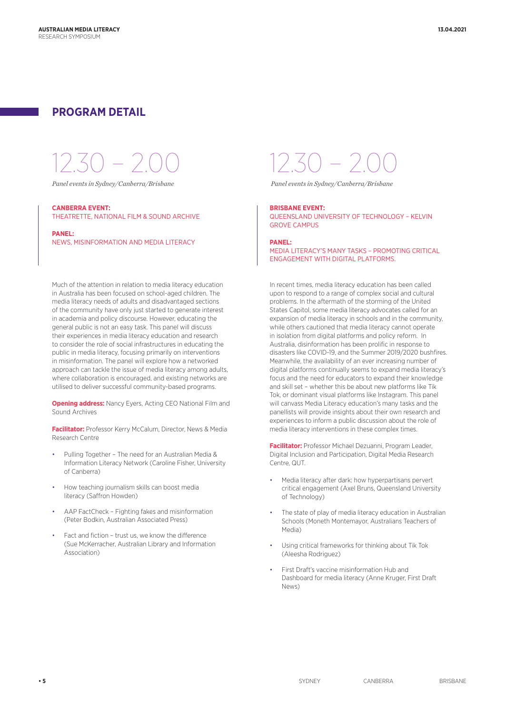# **PROGRAM DETAIL**

#### **CANBERRA EVENT:**

THEATRETTE, NATIONAL FILM & SOUND ARCHIVE

### **PANEL:** NEWS, MISINFORMATION AND MEDIA LITERACY

Much of the attention in relation to media literacy education in Australia has been focused on school-aged children. The media literacy needs of adults and disadvantaged sections of the community have only just started to generate interest in academia and policy discourse. However, educating the general public is not an easy task. This panel will discuss their experiences in media literacy education and research to consider the role of social infrastructures in educating the public in media literacy, focusing primarily on interventions in misinformation. The panel will explore how a networked approach can tackle the issue of media literacy among adults, where collaboration is encouraged, and existing networks are utilised to deliver successful community-based programs.

**Opening address:** Nancy Eyers, Acting CEO National Film and Sound Archives

**Facilitator:** Professor Kerry McCalum, Director, News & Media Research Centre

- Pulling Together The need for an Australian Media & Information Literacy Network (Caroline Fisher, University of Canberra)
- How teaching journalism skills can boost media literacy (Saffron Howden)
- AAP FactCheck Fighting fakes and misinformation (Peter Bodkin, Australian Associated Press)
- Fact and fiction trust us, we know the difference (Sue McKerracher, Australian Library and Information Association)

12.30 – 2.00 12.30 – 2.00

*Panel events in Sydney/Canberra/Brisbane Panel events in Sydney/Canberra/Brisbane* 

### **BRISBANE EVENT:**

QUEENSLAND UNIVERSITY OF TECHNOLOGY – KELVIN GROVE CAMPUS

#### **PANEL:**

MEDIA LITERACY'S MANY TASKS – PROMOTING CRITICAL ENGAGEMENT WITH DIGITAL PLATFORMS.

In recent times, media literacy education has been called upon to respond to a range of complex social and cultural problems. In the aftermath of the storming of the United States Capitol, some media literacy advocates called for an expansion of media literacy in schools and in the community, while others cautioned that media literacy cannot operate in isolation from digital platforms and policy reform. In Australia, disinformation has been prolific in response to disasters like COVID-19, and the Summer 2019/2020 bushfires. Meanwhile, the availability of an ever increasing number of digital platforms continually seems to expand media literacy's focus and the need for educators to expand their knowledge and skill set – whether this be about new platforms like Tik Tok, or dominant visual platforms like Instagram. This panel will canvass Media Literacy education's many tasks and the panellists will provide insights about their own research and experiences to inform a public discussion about the role of media literacy interventions in these complex times.

**Facilitator:** Professor Michael Dezuanni, Program Leader, Digital Inclusion and Participation, Digital Media Research Centre, QUT.

- Media literacy after dark: how hyperpartisans pervert critical engagement (Axel Bruns, Queensland University of Technology)
- The state of play of media literacy education in Australian Schools (Moneth Montemayor, Australians Teachers of Media)
- Using critical frameworks for thinking about Tik Tok (Aleesha Rodriguez)
- First Draft's vaccine misinformation Hub and Dashboard for media literacy (Anne Kruger, First Draft News)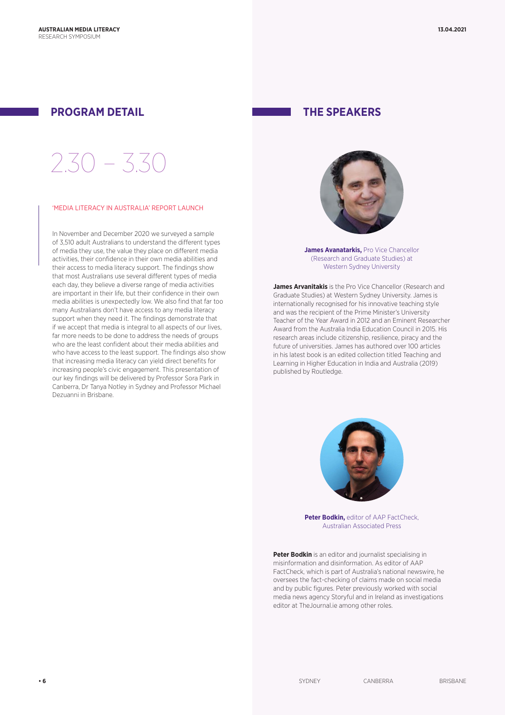# **PROGRAM DETAIL THE SPEAKERS**

# 2.30 – 3.30

### 'MEDIA LITERACY IN AUSTRALIA' REPORT LAUNCH

In November and December 2020 we surveyed a sample of 3,510 adult Australians to understand the different types of media they use, the value they place on different media activities, their confidence in their own media abilities and their access to media literacy support. The findings show that most Australians use several different types of media each day, they believe a diverse range of media activities are important in their life, but their confidence in their own media abilities is unexpectedly low. We also find that far too many Australians don't have access to any media literacy support when they need it. The findings demonstrate that if we accept that media is integral to all aspects of our lives, far more needs to be done to address the needs of groups who are the least confident about their media abilities and who have access to the least support. The findings also show that increasing media literacy can yield direct benefits for increasing people's civic engagement. This presentation of our key findings will be delivered by Professor Sora Park in Canberra, Dr Tanya Notley in Sydney and Professor Michael Dezuanni in Brisbane.



**James Avanatarkis.** Pro Vice Chancellor (Research and Graduate Studies) at Western Sydney University

**James Arvanitakis** is the Pro Vice Chancellor (Research and Graduate Studies) at Western Sydney University. James is internationally recognised for his innovative teaching style and was the recipient of the Prime Minister's University Teacher of the Year Award in 2012 and an Eminent Researcher Award from the Australia India Education Council in 2015. His research areas include citizenship, resilience, piracy and the future of universities. James has authored over 100 articles in his latest book is an edited collection titled Teaching and Learning in Higher Education in India and Australia (2019) published by Routledge.



**Peter Bodkin.** editor of AAP FactCheck, Australian Associated Press

**Peter Bodkin** is an editor and journalist specialising in misinformation and disinformation. As editor of AAP FactCheck, which is part of Australia's national newswire, he oversees the fact-checking of claims made on social media and by public figures. Peter previously worked with social media news agency Storyful and in Ireland as investigations editor at TheJournal.ie among other roles.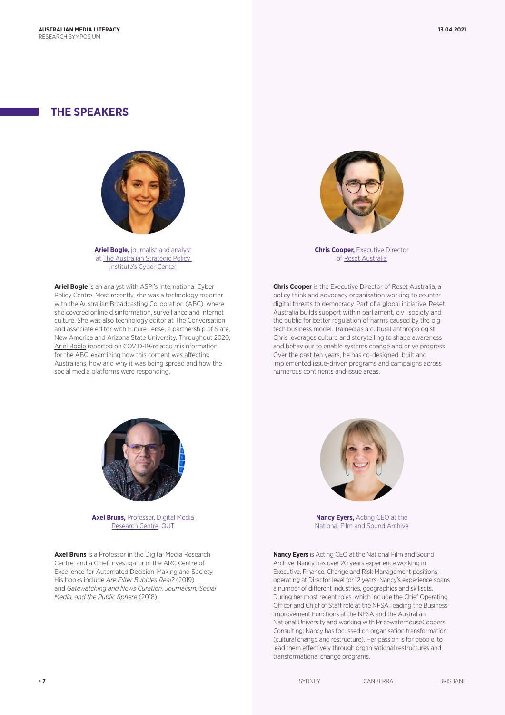# **THE SPEAKERS**



**Ariel Bogle,** journalist and analyst at [The Australian Strategic Policy](https://www.aspi.org.au/program/international-cyber-policy-centre)  [Institute's Cyber Center](https://www.aspi.org.au/program/international-cyber-policy-centre)

**Ariel Bogle** is an analyst with ASPI's International Cyber Policy Centre. Most recently, she was a technology reporter with the Australian Broadcasting Corporation (ABC), where she covered online disinformation, surveillance and internet culture. She was also technology editor at The Conversation and associate editor with Future Tense, a partnership of Slate, New America and Arizona State University. Throughout 2020, [Ariel Bogle reported on](https://www.arielbogle.com/) COVID-19-related misinformation for the ABC, examining how this content was affecting Australians, how and why it was being spread and how the social media platforms were responding.



**Chris Cooper.** Executive Director of [Reset Australia](https://au.reset.tech)

**Chris Cooper** is the Executive Director of Reset Australia, a policy think and advocacy organisation working to counter digital threats to democracy. Part of a global initiative, Reset Australia builds support within parliament, civil society and the public for better regulation of harms caused by the big tech business model. Trained as a cultural anthropologist Chris leverages culture and storytelling to shape awareness and behaviour to enable systems change and drive progress. Over the past ten years, he has co-designed, built and implemented issue-driven programs and campaigns across numerous continents and issue areas.



**Axel Bruns, Professor, Digital Media** [Research Centre,](https://research.qut.edu.au/dmrc/) QUT

**Axel Bruns** is a Professor in the Digital Media Research Centre, and a Chief Investigator in the ARC Centre of Excellence for Automated Decision-Making and Society. His books include *Are Filter Bubbles Real?* (2019) and *Gatewatching and News Curation: Journalism, Social Media, and the Public Sphere* (2018).



**Nancy Eyers,** Acting CEO at the National Film and Sound Archive

**Nancy Eyers** is Acting CEO at the National Film and Sound Archive. Nancy has over 20 years experience working in Executive, Finance, Change and Risk Management positions, operating at Director level for 12 years. Nancy's experience spans a number of different industries, geographies and skillsets. During her most recent roles, which include the Chief Operating Officer and Chief of Staff role at the NFSA, leading the Business Improvement Functions at the NFSA and the Australian National University and working with PricewaterhouseCoopers Consulting, Nancy has focussed on organisation transformation (cultural change and restructure). Her passion is for people; to lead them effectively through organisational restructures and transformational change programs.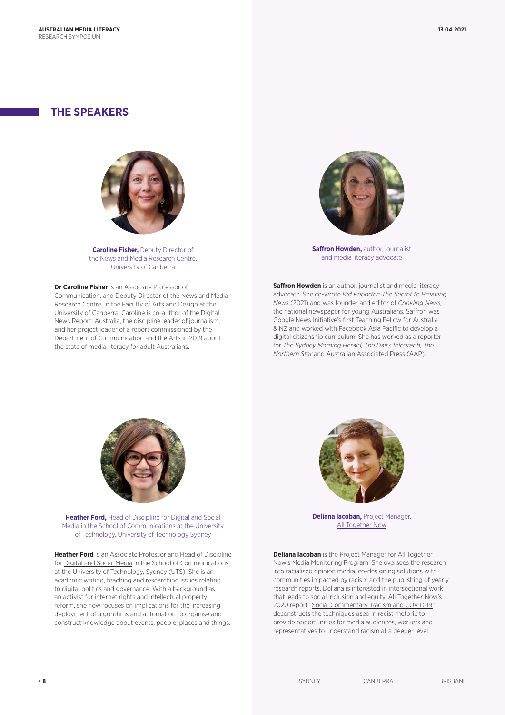# **THE SPEAKERS**



**Caroline Fisher,** Deputy Director of the [News and Media Research Centre,](https://www.canberra.edu.au/research/faculty-research-centres/nmrc)  [University of Canberra](https://www.canberra.edu.au/research/faculty-research-centres/nmrc)

**Dr Caroline Fisher** is an Associate Professor of Communication, and Deputy Director of the News and Media Research Centre, in the Faculty of Arts and Design at the University of Canberra. Caroline is co-author of the Digital News Report: Australia, the discipline leader of journalism, and her project leader of a report commissioned by the Department of Communication and the Arts in 2019 about the state of media literacy for adult Australians.



**Saffron Howden, author, journalist** and media literacy advocate

**Saffron Howden** is an author, journalist and media literacy advocate. She co-wrote *Kid Reporter: The Secret to Breaking News* (2021) and was founder and editor of *Crinkling News,* the national newspaper for young Australians. Saffron was Google News Initiative's first Teaching Fellow for Australia & NZ and worked with Facebook Asia Pacific to develop a digital citizenship curriculum. She has worked as a reporter for *The Sydney Morning Herald, The Daily Telegraph, The Northern Star* and Australian Associated Press (AAP).



**Heather Ford.** Head of Discipline for Digital and Social [Media](https://www.uts.edu.au/future-students/communication/digital-and-social-media) in the School of Communications at the University of Technology, University of Technology Sydney

**Heather Ford** is an Associate Professor and Head of Discipline for [Digital and Social Media](https://www.uts.edu.au/future-students/communication/digital-and-social-media) in the School of Communications at the University of Technology, Sydney (UTS). She is an academic writing, teaching and researching issues relating to digital politics and governance. With a background as an activist for internet rights and intellectual property reform, she now focuses on implications for the increasing deployment of algorithms and automation to organise and construct knowledge about events, people, places and things.



**Deliana lacoban,** Project Manager, [All Together Now](https://alltogethernow.org.au)

**Deliana lacoban** is the Project Manager for All Together Now's Media Monitoring Program. She oversees the research into racialised opinion media, co-designing solutions with communities impacted by racism and the publishing of yearly research reports. Deliana is interested in intersectional work that leads to social inclusion and equity. All Together Now's 2020 report "[Social Commentary, Racism and COVID-19"](https://alltogethernow.org.au/wp-content/uploads/2020/10/ATN-Media-Report-2020_online.pdf) deconstructs the techniques used in racist rhetoric to provide opportunities for media audiences, workers and representatives to understand racism at a deeper level.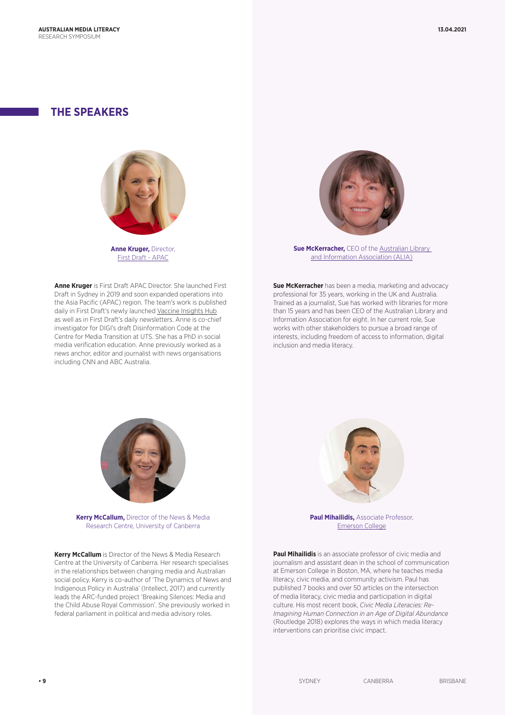# **THE SPEAKERS**



**Anne Kruger,** Director, [First Draft - APAC](https://alltogethernow.org.au/)

**Anne Kruger** is First Draft APAC Director. She launched First Draft in Sydney in 2019 and soon expanded operations into the Asia Pacific (APAC) region. The team's work is published daily in First Draft's newly launched [Vaccine Insights Hub](https://firstdraftnews.org/vaccineinsights/) as well as in First Draft's daily newsletters. Anne is co-chief investigator for DIGI's draft Disinformation Code at the Centre for Media Transition at UTS. She has a PhD in social media verification education. Anne previously worked as a news anchor, editor and journalist with news organisations including CNN and ABC Australia.



**Sue McKerracher, CEO of the Australian Library** [and Information Association \(ALIA\)](https://www.alia.org.au)

**Sue McKerracher** has been a media, marketing and advocacy professional for 35 years, working in the UK and Australia. Trained as a journalist, Sue has worked with libraries for more than 15 years and has been CEO of the Australian Library and Information Association for eight. In her current role, Sue works with other stakeholders to pursue a broad range of interests, including freedom of access to information, digital inclusion and media literacy.



**Kerry McCallum,** Director of the News & Media Research Centre, University of Canberra

**Kerry McCallum** is Director of the News & Media Research Centre at the University of Canberra. Her research specialises in the relationships between changing media and Australian social policy. Kerry is co-author of 'The Dynamics of News and Indigenous Policy in Australia' (Intellect, 2017) and currently leads the ARC-funded project 'Breaking Silences: Media and the Child Abuse Royal Commission'. She previously worked in federal parliament in political and media advisory roles.



**Paul Mihailidis,** Associate Professor, [Emerson College](https://www.emerson.edu/faculty-staff-directory/paul-mihailidis)

**Paul Mihailidis** is an associate professor of civic media and journalism and assistant dean in the school of communication at Emerson College in Boston, MA, where he teaches media literacy, civic media, and community activism. Paul has published 7 books and over 50 articles on the intersection of media literacy, civic media and participation in digital culture. His most recent book, *Civic Media Literacies: Re-Imagining Human Connection in an Age of Digital Abundance*  (Routledge 2018) explores the ways in which media literacy interventions can prioritise civic impact.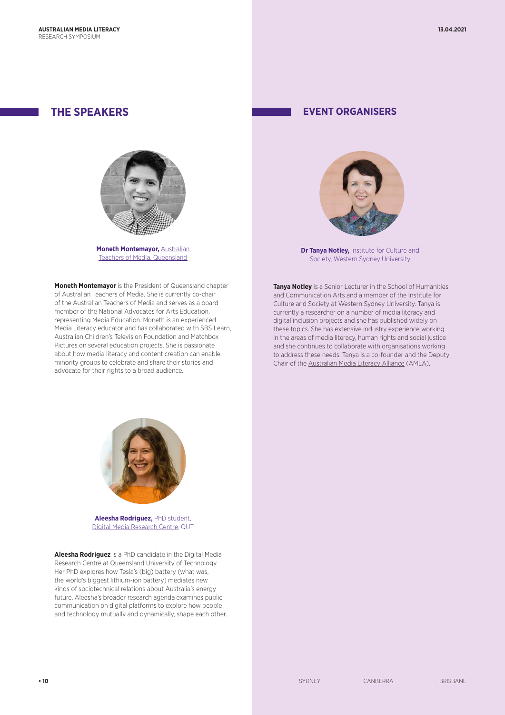

**Moneth Montemayor, Australian** [Teachers of Media, Queensland](https://www.atomqld.org.au)

**Moneth Montemayor** is the President of Queensland chapter of Australian Teachers of Media. She is currently co-chair of the Australian Teachers of Media and serves as a board member of the National Advocates for Arts Education, representing Media Education. Moneth is an experienced Media Literacy educator and has collaborated with SBS Learn, Australian Children's Television Foundation and Matchbox Pictures on several education projects. She is passionate about how media literacy and content creation can enable minority groups to celebrate and share their stories and advocate for their rights to a broad audience.

## **THE SPEAKERS EVENT ORGANISERS**



**[Dr Tanya Notley](https://www.westernsydney.edu.au/ics/people/school_based_researchers/tanya_notley),** Institute for Culture and Society, Western Sydney University

**Tanya Notley** is a Senior Lecturer in the School of Humanities and Communication Arts and a member of the Institute for Culture and Society at Western Sydney University. Tanya is currently a researcher on a number of media literacy and digital inclusion projects and she has published widely on these topics. She has extensive industry experience working in the areas of media literacy, human rights and social justice and she continues to collaborate with organisations working to address these needs. Tanya is a co-founder and the Deputy Chair of the [Australian Media Literacy Alliance](https://medialiteracy.org.au/) (AMLA).



**Aleesha Rodriguez,** PhD student, [Digital Media Research Centre,](https://research.qut.edu.au/dmrc/) QUT

**Aleesha Rodriguez** is a PhD candidate in the Digital Media Research Centre at Queensland University of Technology. Her PhD explores how Tesla's (big) battery (what was, the world's biggest lithium-ion battery) mediates new kinds of sociotechnical relations about Australia's energy future. Aleesha's broader research agenda examines public communication on digital platforms to explore how people and technology mutually and dynamically, shape each other.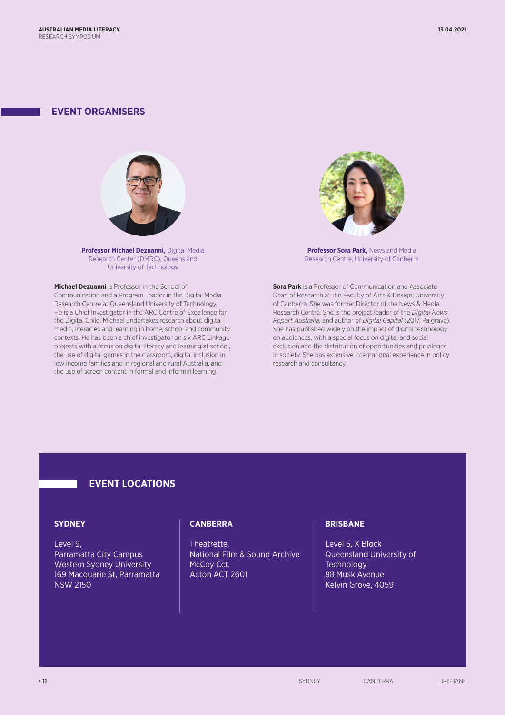## **EVENT ORGANISERS**



**[Professor Michael Dezuanni,](https://staff.qut.edu.au/staff/m.dezuanni)** Digital Media Research Center (DMRC), Queensland University of Technology

**Michael Dezuanni** is Professor in the School of Communication and a Program Leader in the Digital Media Research Centre at Queensland University of Technology. He is a Chief Investigator in the ARC Centre of Excellence for the Digital Child. Michael undertakes research about digital media, literacies and learning in home, school and community contexts. He has been a chief investigator on six ARC Linkage projects with a focus on digital literacy and learning at school, the use of digital games in the classroom, digital inclusion in low income families and in regional and rural Australia, and the use of screen content in formal and informal learning.



**[Professor Sora Park](https://researchprofiles.canberra.edu.au/en/persons/sora-park),** News and Media Research Centre, University of Canberra

**Sora Park** is a Professor of Communication and Associate Dean of Research at the Faculty of Arts & Design, University of Canberra. She was former Director of the News & Media Research Centre. She is the project leader of the *Digital News Report Australia*, and author of *Digital Capital* (2017, Palgrave). She has published widely on the impact of digital technology on audiences, with a special focus on digital and social exclusion and the distribution of opportunities and privileges in society. She has extensive international experience in policy research and consultancy.

## **EVENT LOCATIONS**

### **SYDNEY**

Level 9, Parramatta City Campus Western Sydney University 169 Macquarie St, Parramatta NSW 2150

### **CANBERRA**

Theatrette, National Film & Sound Archive McCoy Cct, Acton ACT 2601

### **BRISBANE**

Level 5, X Block Queensland University of **Technology** 88 Musk Avenue Kelvin Grove, 4059